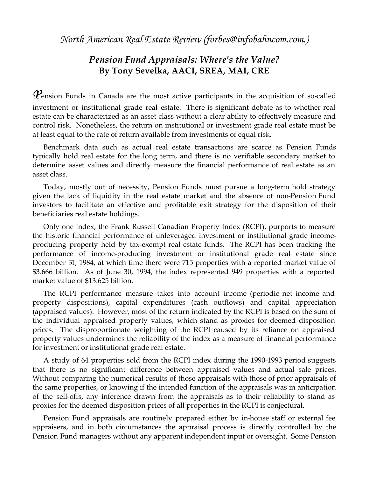*North American Real Estate Review (forbes@infobahncom.com.)*

## *Pension Fund Appraisals: Where's the Value?* **By Tony Sevelka, AACI, SREA, MAI, CRE**

 $\bm{\mathit{P}}$ ension Funds in Canada are the most active participants in the acquisition of so-called investment or institutional grade real estate. There is significant debate as to whether real estate can be characterized as an asset class without a clear ability to effectively measure and control risk. Nonetheless, the return on institutional or investment grade real estate must be at least equal to the rate of return available from investments of equal risk.

Benchmark data such as actual real estate transactions are scarce as Pension Funds typically hold real estate for the long term, and there is no verifiable secondary market to determine asset values and directly measure the financial performance of real estate as an asset class.

Today, mostly out of necessity, Pension Funds must pursue a long-term hold strategy given the lack of liquidity in the real estate market and the absence of non-Pension Fund investors to facilitate an effective and profitable exit strategy for the disposition of their beneficiaries real estate holdings.

Only one index, the Frank Russell Canadian Property Index (RCPI), purports to measure the historic financial performance of unleveraged investment or institutional grade incomeproducing property held by tax-exempt real estate funds. The RCPI has been tracking the performance of income-producing investment or institutional grade real estate since December 31, 1984, at which time there were 715 properties with a reported market value of \$3.666 billion. As of June 30, 1994, the index represented 949 properties with a reported market value of \$13.625 billion.

The RCPI performance measure takes into account income (periodic net income and property dispositions), capital expenditures (cash outflows) and capital appreciation (appraised values). However, most of the return indicated by the RCPI is based on the sum of the individual appraised property values, which stand as proxies for deemed disposition prices. The disproportionate weighting of the RCPI caused by its reliance on appraised property values undermines the reliability of the index as a measure of financial performance for investment or institutional grade real estate.

A study of 64 properties sold from the RCPI index during the 1990-1993 period suggests that there is no significant difference between appraised values and actual sale prices. Without comparing the numerical results of those appraisals with those of prior appraisals of the same properties, or knowing if the intended function of the appraisals was in anticipation of the sell-offs, any inference drawn from the appraisals as to their reliability to stand as proxies for the deemed disposition prices of all properties in the RCPI is conjectural.

Pension Fund appraisals are routinely prepared either by in-house staff or external fee appraisers, and in both circumstances the appraisal process is directly controlled by the Pension Fund managers without any apparent independent input or oversight. Some Pension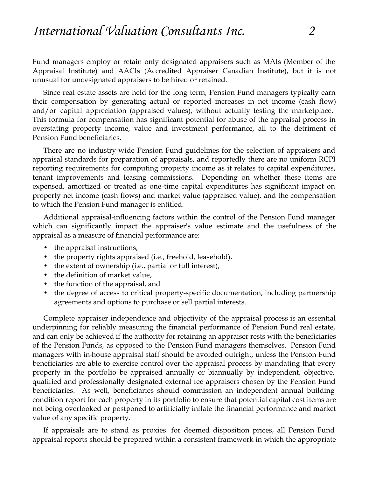Fund managers employ or retain only designated appraisers such as MAIs (Member of the Appraisal Institute) and AACIs (Accredited Appraiser Canadian Institute), but it is not unusual for undesignated appraisers to be hired or retained.

Since real estate assets are held for the long term, Pension Fund managers typically earn their compensation by generating actual or reported increases in net income (cash flow) and/or capital appreciation (appraised values), without actually testing the marketplace. This formula for compensation has significant potential for abuse of the appraisal process in overstating property income, value and investment performance, all to the detriment of Pension Fund beneficiaries.

There are no industry-wide Pension Fund guidelines for the selection of appraisers and appraisal standards for preparation of appraisals, and reportedly there are no uniform RCPI reporting requirements for computing property income as it relates to capital expenditures, tenant improvements and leasing commissions. Depending on whether these items are expensed, amortized or treated as one-time capital expenditures has significant impact on property net income (cash flows) and market value (appraised value), and the compensation to which the Pension Fund manager is entitled.

Additional appraisal-influencing factors within the control of the Pension Fund manager which can significantly impact the appraiser's value estimate and the usefulness of the appraisal as a measure of financial performance are:

- the appraisal instructions,
- the property rights appraised (i.e., freehold, leasehold),
- the extent of ownership (i.e., partial or full interest),
- the definition of market value,
- the function of the appraisal, and
- the degree of access to critical property-specific documentation, including partnership agreements and options to purchase or sell partial interests.

Complete appraiser independence and objectivity of the appraisal process is an essential underpinning for reliably measuring the financial performance of Pension Fund real estate, and can only be achieved if the authority for retaining an appraiser rests with the beneficiaries of the Pension Funds, as opposed to the Pension Fund managers themselves. Pension Fund managers with in-house appraisal staff should be avoided outright, unless the Pension Fund beneficiaries are able to exercise control over the appraisal process by mandating that every property in the portfolio be appraised annually or biannually by independent, objective, qualified and professionally designated external fee appraisers chosen by the Pension Fund beneficiaries. As well, beneficiaries should commission an independent annual building condition report for each property in its portfolio to ensure that potential capital cost items are not being overlooked or postponed to artificially inflate the financial performance and market value of any specific property.

If appraisals are to stand as proxies for deemed disposition prices, all Pension Fund appraisal reports should be prepared within a consistent framework in which the appropriate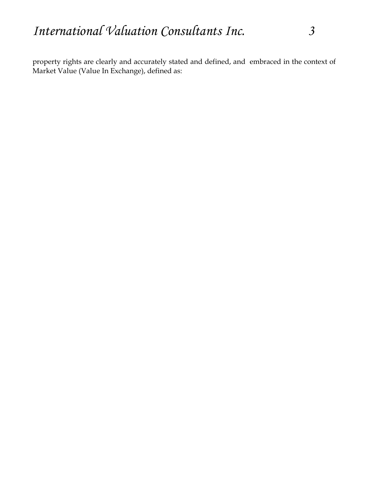property rights are clearly and accurately stated and defined, and embraced in the context of Market Value (Value In Exchange), defined as: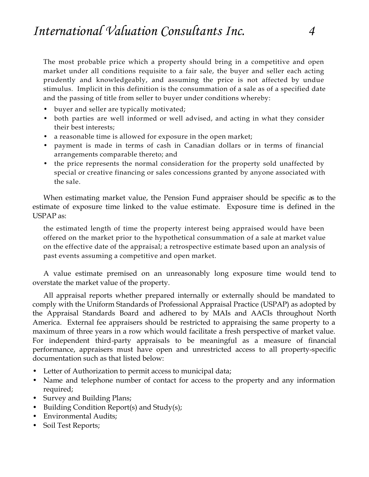The most probable price which a property should bring in a competitive and open market under all conditions requisite to a fair sale, the buyer and seller each acting prudently and knowledgeably, and assuming the price is not affected by undue stimulus. Implicit in this definition is the consummation of a sale as of a specified date and the passing of title from seller to buyer under conditions whereby:

- buyer and seller are typically motivated;
- both parties are well informed or well advised, and acting in what they consider their best interests;
- a reasonable time is allowed for exposure in the open market;
- payment is made in terms of cash in Canadian dollars or in terms of financial arrangements comparable thereto; and
- the price represents the normal consideration for the property sold unaffected by special or creative financing or sales concessions granted by anyone associated with the sale.

When estimating market value, the Pension Fund appraiser should be specific as to the estimate of exposure time linked to the value estimate. Exposure time is defined in the USPAP as:

the estimated length of time the property interest being appraised would have been offered on the market prior to the hypothetical consummation of a sale at market value on the effective date of the appraisal; a retrospective estimate based upon an analysis of past events assuming a competitive and open market.

A value estimate premised on an unreasonably long exposure time would tend to overstate the market value of the property.

All appraisal reports whether prepared internally or externally should be mandated to comply with the Uniform Standards of Professional Appraisal Practice (USPAP) as adopted by the Appraisal Standards Board and adhered to by MAIs and AACIs throughout North America. External fee appraisers should be restricted to appraising the same property to a maximum of three years in a row which would facilitate a fresh perspective of market value. For independent third-party appraisals to be meaningful as a measure of financial performance, appraisers must have open and unrestricted access to all property-specific documentation such as that listed below:

- Letter of Authorization to permit access to municipal data;
- Name and telephone number of contact for access to the property and any information required;
- Survey and Building Plans;
- Building Condition Report(s) and Study(s);
- Environmental Audits;
- Soil Test Reports;